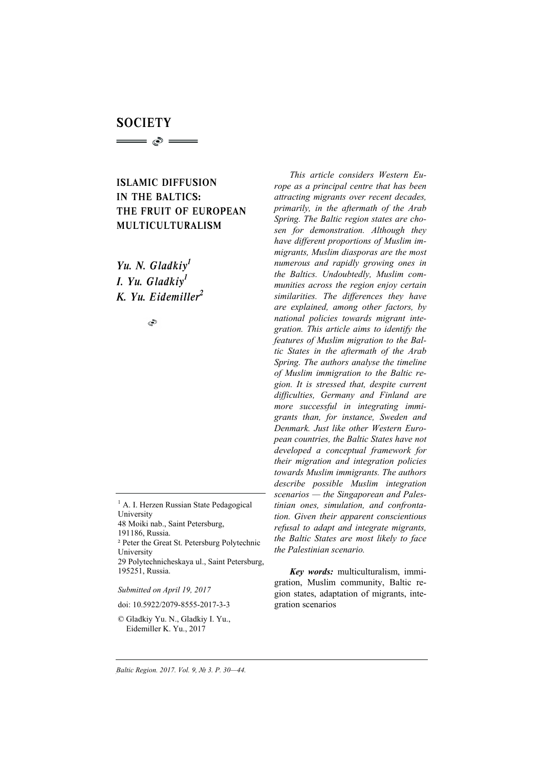# **SOCIETY**  $\Longrightarrow$   $\circ$   $\Longrightarrow$

## ISLAMIC DIFFUSION IN THE BALTICS: THE FRUIT OF EUROPEAN MULTICULTURALISM

*Yu. N. Gladkiy1 I. Yu. Gladkiy1 K. Yu. Eidemiller 2*

S

 $<sup>1</sup>$  A. I. Herzen Russian State Pedagogical</sup> University

- 48 Moiki nab., Saint Petersburg, 191186, Russia.
- 

² Peter the Great St. Petersburg Polytechnic University

29 Polytechnicheskaya ul., Saint Petersburg, 195251, Russia.

*Submitted on April 19, 2017* 

doi: 10.5922/2079-8555-2017-3-3

© Gladkiy Yu. N., Gladkiy I. Yu., Eidemiller K. Yu., 2017

*This article considers Western Europe as a principal centre that has been attracting migrants over recent decades, primarily, in the aftermath of the Arab Spring. The Baltic region states are chosen for demonstration. Although they have different proportions of Muslim immigrants, Muslim diasporas are the most numerous and rapidly growing ones in the Baltics. Undoubtedly, Muslim communities across the region enjoy certain similarities. The differences they have are explained, among other factors, by national policies towards migrant integration. This article aims to identify the features of Muslim migration to the Baltic States in the aftermath of the Arab Spring. The authors analyse the timeline of Muslim immigration to the Baltic region. It is stressed that, despite current difficulties, Germany and Finland are more successful in integrating immigrants than, for instance, Sweden and Denmark. Just like other Western European countries, the Baltic States have not developed a conceptual framework for their migration and integration policies towards Muslim immigrants. The authors describe possible Muslim integration scenarios — the Singaporean and Palestinian ones, simulation, and confrontation. Given their apparent conscientious refusal to adapt and integrate migrants, the Baltic States are most likely to face the Palestinian scenario.* 

*Key words:* multiculturalism, immigration, Muslim community, Baltic region states, adaptation of migrants, integration scenarios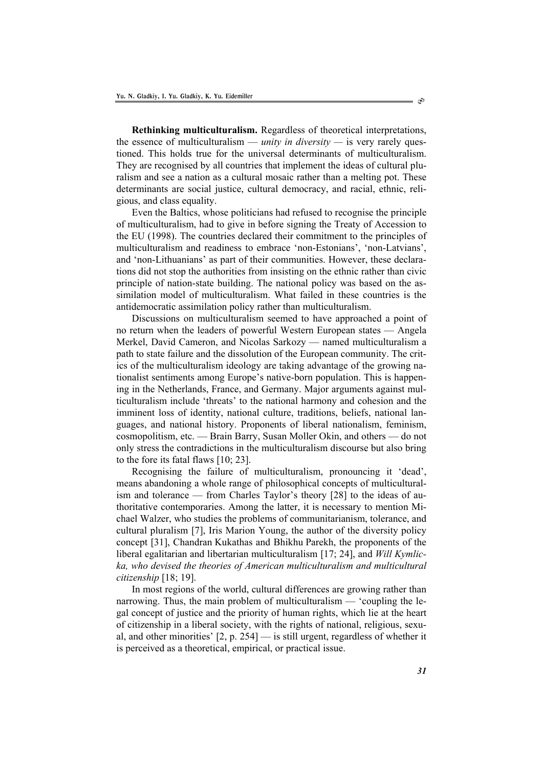**Rethinking multiculturalism.** Regardless of theoretical interpretations, the essence of multiculturalism — *unity in diversity —* is very rarely questioned. This holds true for the universal determinants of multiculturalism. They are recognised by all countries that implement the ideas of cultural pluralism and see a nation as a cultural mosaic rather than a melting pot. These determinants are social justice, cultural democracy, and racial, ethnic, religious, and class equality.

Even the Baltics, whose politicians had refused to recognise the principle of multiculturalism, had to give in before signing the Treaty of Accession to the EU (1998). The countries declared their commitment to the principles of multiculturalism and readiness to embrace 'non-Estonians', 'non-Latvians', and 'non-Lithuanians' as part of their communities. However, these declarations did not stop the authorities from insisting on the ethnic rather than civic principle of nation-state building. The national policy was based on the assimilation model of multiculturalism. What failed in these countries is the antidemocratic assimilation policy rather than multiculturalism.

Discussions on multiculturalism seemed to have approached a point of no return when the leaders of powerful Western European states — Angela Merkel, David Cameron, and Nicolas Sarkozy — named multiculturalism a path to state failure and the dissolution of the European community. The critics of the multiculturalism ideology are taking advantage of the growing nationalist sentiments among Europe's native-born population. This is happening in the Netherlands, France, and Germany. Major arguments against multiculturalism include 'threats' to the national harmony and cohesion and the imminent loss of identity, national culture, traditions, beliefs, national languages, and national history. Proponents of liberal nationalism, feminism, cosmopolitism, etc. — Brain Barry, Susan Moller Okin, and others — do not only stress the contradictions in the multiculturalism discourse but also bring to the fore its fatal flaws [10; 23].

Recognising the failure of multiculturalism, pronouncing it 'dead', means abandoning a whole range of philosophical concepts of multiculturalism and tolerance — from Charles Taylor's theory [28] to the ideas of authoritative contemporaries. Among the latter, it is necessary to mention Michael Walzer, who studies the problems of communitarianism, tolerance, and cultural pluralism [7], Iris Marion Young, the author of the diversity policy concept [31], Chandran Kukathas and Bhikhu Parekh, the proponents of the liberal egalitarian and libertarian multiculturalism [17; 24], and *Will Kymlicka, who devised the theories of American multiculturalism and multicultural citizenship* [18; 19].

In most regions of the world, cultural differences are growing rather than narrowing. Thus, the main problem of multiculturalism — 'coupling the legal concept of justice and the priority of human rights, which lie at the heart of citizenship in a liberal society, with the rights of national, religious, sexual, and other minorities'  $[2, p. 254]$  — is still urgent, regardless of whether it is perceived as a theoretical, empirical, or practical issue.

 $\circlearrowright$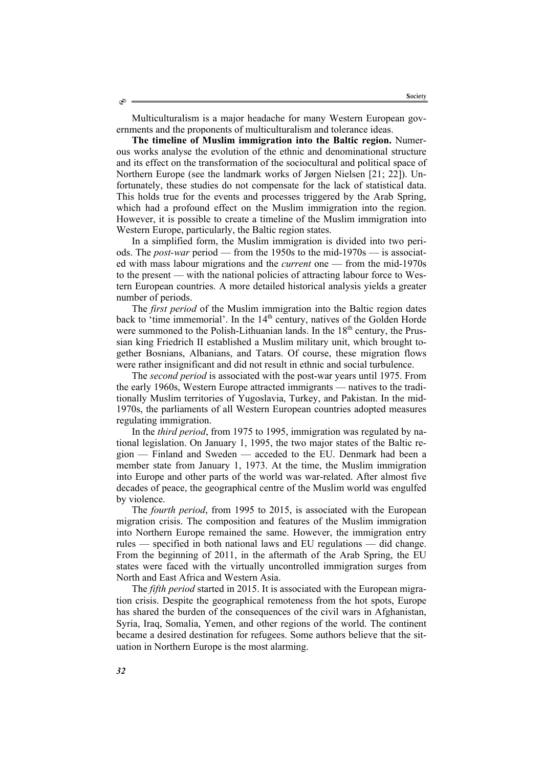Multiculturalism is a major headache for many Western European governments and the proponents of multiculturalism and tolerance ideas.

**The timeline of Muslim immigration into the Baltic region.** Numerous works analyse the evolution of the ethnic and denominational structure and its effect on the transformation of the sociocultural and political space of Northern Europe (see the landmark works of Jørgen Nielsen [21; 22]). Unfortunately, these studies do not compensate for the lack of statistical data. This holds true for the events and processes triggered by the Arab Spring, which had a profound effect on the Muslim immigration into the region. However, it is possible to create a timeline of the Muslim immigration into Western Europe, particularly, the Baltic region states.

In a simplified form, the Muslim immigration is divided into two periods. The *post-war* period — from the 1950s to the mid-1970s — is associated with mass labour migrations and the *current* one — from the mid-1970s to the present — with the national policies of attracting labour force to Western European countries. A more detailed historical analysis yields a greater number of periods.

The *first period* of the Muslim immigration into the Baltic region dates back to 'time immemorial'. In the  $14<sup>th</sup>$  century, natives of the Golden Horde were summoned to the Polish-Lithuanian lands. In the  $18<sup>th</sup>$  century, the Prussian king Friedrich II established a Muslim military unit, which brought together Bosnians, Albanians, and Tatars. Of course, these migration flows were rather insignificant and did not result in ethnic and social turbulence.

The *second period* is associated with the post-war years until 1975. From the early 1960s, Western Europe attracted immigrants — natives to the traditionally Muslim territories of Yugoslavia, Turkey, and Pakistan. In the mid-1970s, the parliaments of all Western European countries adopted measures regulating immigration.

In the *third period*, from 1975 to 1995, immigration was regulated by national legislation. On January 1, 1995, the two major states of the Baltic region — Finland and Sweden — acceded to the EU. Denmark had been a member state from January 1, 1973. At the time, the Muslim immigration into Europe and other parts of the world was war-related. After almost five decades of peace, the geographical centre of the Muslim world was engulfed by violence.

The *fourth period*, from 1995 to 2015, is associated with the European migration crisis. The composition and features of the Muslim immigration into Northern Europe remained the same. However, the immigration entry rules — specified in both national laws and EU regulations — did change. From the beginning of 2011, in the aftermath of the Arab Spring, the EU states were faced with the virtually uncontrolled immigration surges from North and East Africa and Western Asia.

The *fifth period* started in 2015. It is associated with the European migration crisis. Despite the geographical remoteness from the hot spots, Europe has shared the burden of the consequences of the civil wars in Afghanistan, Syria, Iraq, Somalia, Yemen, and other regions of the world. The continent became a desired destination for refugees. Some authors believe that the situation in Northern Europe is the most alarming.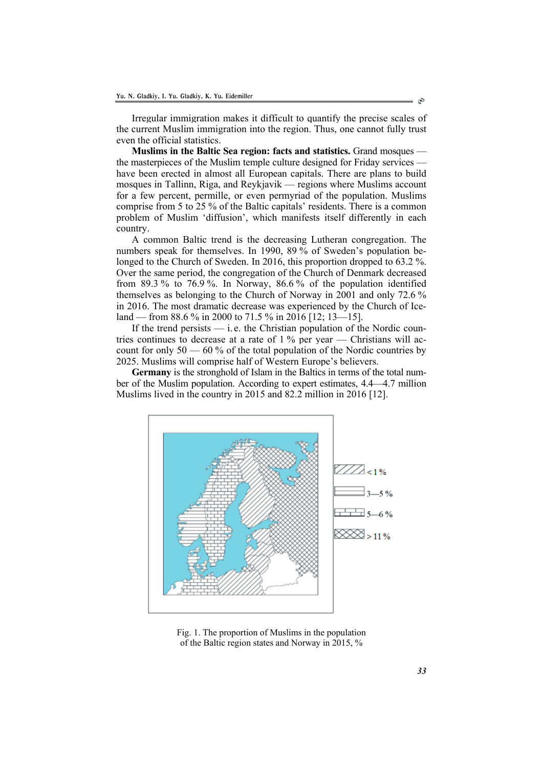Irregular immigration makes it difficult to quantify the precise scales of the current Muslim immigration into the region. Thus, one cannot fully trust even the official statistics.

**Muslims in the Baltic Sea region: facts and statistics.** Grand mosques the masterpieces of the Muslim temple culture designed for Friday services have been erected in almost all European capitals. There are plans to build mosques in Tallinn, Riga, and Reykjavik — regions where Muslims account for a few percent, permille, or even permyriad of the population. Muslims comprise from 5 to 25 % of the Baltic capitals' residents. There is a common problem of Muslim 'diffusion', which manifests itself differently in each country.

A common Baltic trend is the decreasing Lutheran congregation. The numbers speak for themselves. In 1990, 89 % of Sweden's population belonged to the Church of Sweden. In 2016, this proportion dropped to 63.2 %. Over the same period, the congregation of the Church of Denmark decreased from 89.3 % to 76.9 %. In Norway, 86.6 % of the population identified themselves as belonging to the Church of Norway in 2001 and only 72.6 % in 2016. The most dramatic decrease was experienced by the Church of Iceland — from 88.6 % in 2000 to 71.5 % in 2016 [12; 13—15].

If the trend persists  $\frac{d}{dx}$  i.e. the Christian population of the Nordic countries continues to decrease at a rate of 1 % per year — Christians will account for only  $50 - 60\%$  of the total population of the Nordic countries by 2025. Muslims will comprise half of Western Europe's believers.

**Germany** is the stronghold of Islam in the Baltics in terms of the total number of the Muslim population. According to expert estimates, 4.4—4.7 million Muslims lived in the country in 2015 and 82.2 million in 2016 [12].



Fig. 1. The proportion of Muslims in the population of the Baltic region states and Norway in 2015, %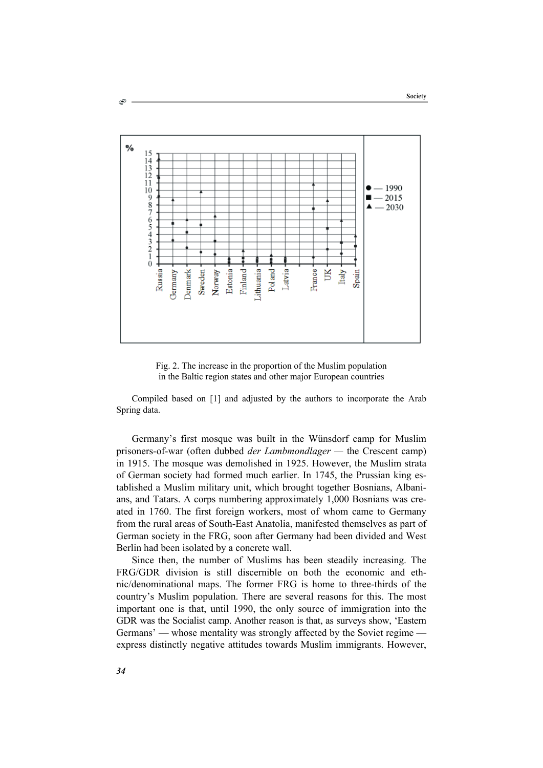

Fig. 2. The increase in the proportion of the Muslim population in the Baltic region states and other major European countries

Compiled based on [1] and adjusted by the authors to incorporate the Arab Spring data.

Germany's first mosque was built in the Wünsdorf camp for Muslim prisoners-of-war (often dubbed *der Lambmondlager —* the Crescent camp) in 1915. The mosque was demolished in 1925. However, the Muslim strata of German society had formed much earlier. In 1745, the Prussian king established a Muslim military unit, which brought together Bosnians, Albanians, and Tatars. A corps numbering approximately 1,000 Bosnians was created in 1760. The first foreign workers, most of whom came to Germany from the rural areas of South-East Anatolia, manifested themselves as part of German society in the FRG, soon after Germany had been divided and West Berlin had been isolated by a concrete wall.

Since then, the number of Muslims has been steadily increasing. The FRG/GDR division is still discernible on both the economic and ethnic/denominational maps. The former FRG is home to three-thirds of the country's Muslim population. There are several reasons for this. The most important one is that, until 1990, the only source of immigration into the GDR was the Socialist camp. Another reason is that, as surveys show, 'Eastern Germans' — whose mentality was strongly affected by the Soviet regime express distinctly negative attitudes towards Muslim immigrants. However,

۵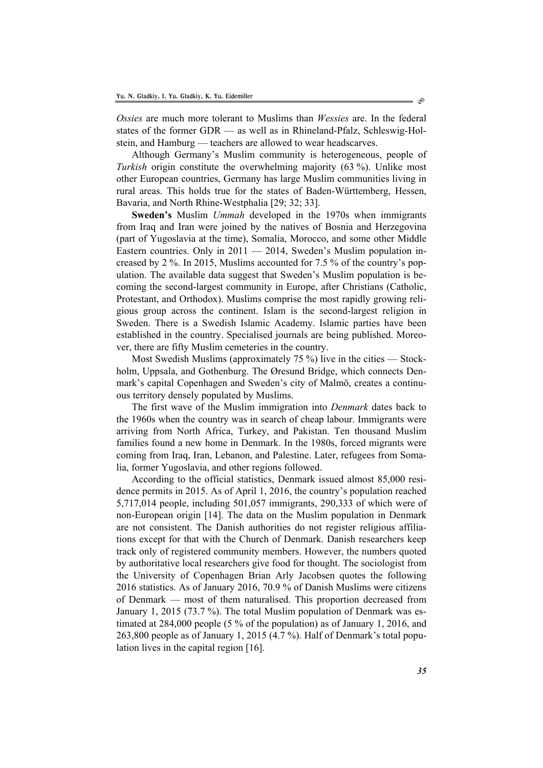*Ossies* are much more tolerant to Muslims than *Wessies* are. In the federal states of the former GDR — as well as in Rhineland-Pfalz, Schleswig-Holstein, and Hamburg — teachers are allowed to wear headscarves.

Although Germany's Muslim community is heterogeneous, people of *Turkish* origin constitute the overwhelming majority (63 %). Unlike most other European countries, Germany has large Muslim communities living in rural areas. This holds true for the states of Baden-Württemberg, Hessen, Bavaria, and North Rhine-Westphalia [29; 32; 33].

**Sweden's** Muslim *Ummah* developed in the 1970s when immigrants from Iraq and Iran were joined by the natives of Bosnia and Herzegovina (part of Yugoslavia at the time), Somalia, Morocco, and some other Middle Eastern countries. Only in  $2011 - 2014$ , Sweden's Muslim population increased by 2 %. In 2015, Muslims accounted for 7.5 % of the country's population. The available data suggest that Sweden's Muslim population is becoming the second-largest community in Europe, after Christians (Catholic, Protestant, and Orthodox). Muslims comprise the most rapidly growing religious group across the continent. Islam is the second-largest religion in Sweden. There is a Swedish Islamic Academy. Islamic parties have been established in the country. Specialised journals are being published. Moreover, there are fifty Muslim cemeteries in the country.

Most Swedish Muslims (approximately 75 %) live in the cities — Stockholm, Uppsala, and Gothenburg. The Øresund Bridge, which connects Denmark's capital Copenhagen and Sweden's city of Malmö, creates a continuous territory densely populated by Muslims.

The first wave of the Muslim immigration into *Denmark* dates back to the 1960s when the country was in search of cheap labour. Immigrants were arriving from North Africa, Turkey, and Pakistan. Ten thousand Muslim families found a new home in Denmark. In the 1980s, forced migrants were coming from Iraq, Iran, Lebanon, and Palestine. Later, refugees from Somalia, former Yugoslavia, and other regions followed.

According to the official statistics, Denmark issued almost 85,000 residence permits in 2015. As of April 1, 2016, the country's population reached 5,717,014 people, including 501,057 immigrants, 290,333 of which were of non-European origin [14]. The data on the Muslim population in Denmark are not consistent. The Danish authorities do not register religious affiliations except for that with the Church of Denmark. Danish researchers keep track only of registered community members. However, the numbers quoted by authoritative local researchers give food for thought. The sociologist from the University of Copenhagen Brian Arly Jacobsen quotes the following 2016 statistics. As of January 2016, 70.9 % of Danish Muslims were citizens of Denmark — most of them naturalised. This proportion decreased from January 1, 2015 (73.7 %). The total Muslim population of Denmark was estimated at 284,000 people (5 % of the population) as of January 1, 2016, and 263,800 people as of January 1, 2015 (4.7 %). Half of Denmark's total population lives in the capital region [16].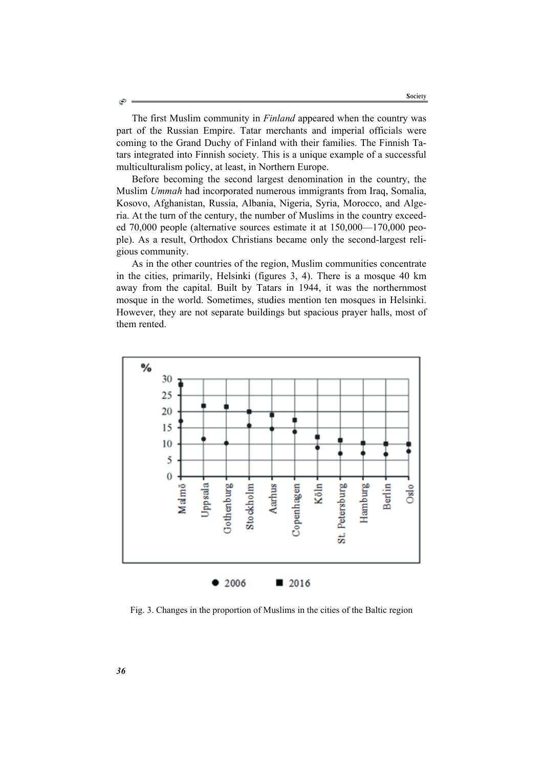The first Muslim community in *Finland* appeared when the country was part of the Russian Empire. Tatar merchants and imperial officials were coming to the Grand Duchy of Finland with their families. The Finnish Tatars integrated into Finnish society. This is a unique example of a successful multiculturalism policy, at least, in Northern Europe.

Before becoming the second largest denomination in the country, the Muslim *Ummah* had incorporated numerous immigrants from Iraq, Somalia, Kosovo, Afghanistan, Russia, Albania, Nigeria, Syria, Morocco, and Algeria. At the turn of the century, the number of Muslims in the country exceeded 70,000 people (alternative sources estimate it at 150,000—170,000 people). As a result, Orthodox Christians became only the second-largest religious community.

As in the other countries of the region, Muslim communities concentrate in the cities, primarily, Helsinki (figures 3, 4). There is a mosque 40 km away from the capital. Built by Tatars in 1944, it was the northernmost mosque in the world. Sometimes, studies mention ten mosques in Helsinki. However, they are not separate buildings but spacious prayer halls, most of them rented.



Fig. 3. Changes in the proportion of Muslims in the cities of the Baltic region

Ò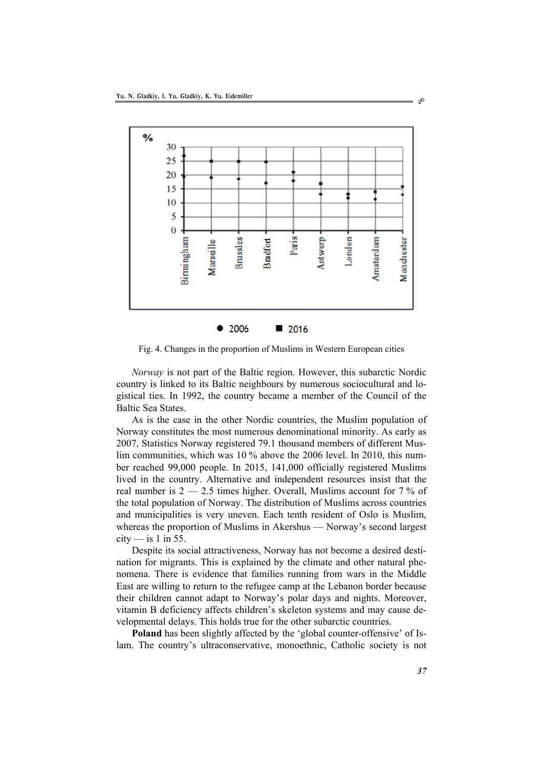

Fig. 4. Changes in the proportion of Muslims in Western European cities

*Norway* is not part of the Baltic region. However, this subarctic Nordic country is linked to its Baltic neighbours by numerous sociocultural and logistical ties. In 1992, the country became a member of the Council of the Baltic Sea States.

As is the case in the other Nordic countries, the Muslim population of Norway constitutes the most numerous denominational minority. As early as 2007, Statistics Norway registered 79.1 thousand members of different Muslim communities, which was 10 % above the 2006 level. In 2010, this number reached 99,000 people. In 2015, 141,000 officially registered Muslims lived in the country. Alternative and independent resources insist that the real number is  $2 - 2.5$  times higher. Overall, Muslims account for  $7\%$  of the total population of Norway. The distribution of Muslims across countries and municipalities is very uneven. Each tenth resident of Oslo is Muslim, whereas the proportion of Muslims in Akershus — Norway's second largest  $city$  — is 1 in 55.

Despite its social attractiveness, Norway has not become a desired destination for migrants. This is explained by the climate and other natural phenomena. There is evidence that families running from wars in the Middle East are willing to return to the refugee camp at the Lebanon border because their children cannot adapt to Norway's polar days and nights. Moreover, vitamin B deficiency affects children's skeleton systems and may cause developmental delays. This holds true for the other subarctic countries.

**Poland** has been slightly affected by the 'global counter-offensive' of Islam. The country's ultraconservative, monoethnic, Catholic society is not

S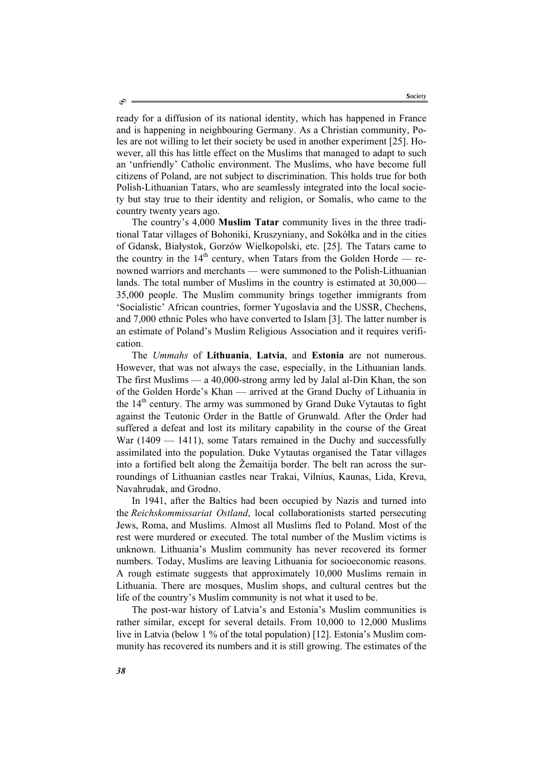ready for a diffusion of its national identity, which has happened in France and is happening in neighbouring Germany. As a Christian community, Poles are not willing to let their society be used in another experiment [25]. However, all this has little effect on the Muslims that managed to adapt to such an 'unfriendly' Catholic environment. The Muslims, who have become full citizens of Poland, are not subject to discrimination. This holds true for both Polish-Lithuanian Tatars, who are seamlessly integrated into the local society but stay true to their identity and religion, or Somalis, who came to the country twenty years ago.

The country's 4,000 **Muslim Tatar** community lives in the three traditional Tatar villages of Bohoniki, Kruszyniany, and Sokółka and in the cities of Gdansk, Białystok, Gorzów Wielkopolski, etc. [25]. The Tatars came to the country in the  $14<sup>th</sup>$  century, when Tatars from the Golden Horde — renowned warriors and merchants — were summoned to the Polish-Lithuanian lands. The total number of Muslims in the country is estimated at 30,000— 35,000 people. The Muslim community brings together immigrants from 'Socialistic' African countries, former Yugoslavia and the USSR, Chechens, and 7,000 ethnic Poles who have converted to Islam [3]. The latter number is an estimate of Poland's Muslim Religious Association and it requires verification.

The *Ummahs* of **Lithuania**, **Latvia**, and **Estonia** are not numerous. However, that was not always the case, especially, in the Lithuanian lands. The first Muslims — a 40,000-strong army led by Jalal al-Din Khan, the son of the Golden Horde's Khan — arrived at the Grand Duchy of Lithuania in the 14<sup>th</sup> century. The army was summoned by Grand Duke Vytautas to fight against the Teutonic Order in the Battle of Grunwald. After the Order had suffered a defeat and lost its military capability in the course of the Great War (1409 — 1411), some Tatars remained in the Duchy and successfully assimilated into the population. Duke Vytautas organised the Tatar villages into a fortified belt along the Žemaitija border. The belt ran across the surroundings of Lithuanian castles near Trakai, Vilnius, Kaunas, Lida, Kreva, Navahrudak, and Grodno.

In 1941, after the Baltics had been occupied by Nazis and turned into the *Reichskommissariat Ostland*, local collaborationists started persecuting Jews, Roma, and Muslims. Almost all Muslims fled to Poland. Most of the rest were murdered or executed. The total number of the Muslim victims is unknown. Lithuania's Muslim community has never recovered its former numbers. Today, Muslims are leaving Lithuania for socioeconomic reasons. A rough estimate suggests that approximately 10,000 Muslims remain in Lithuania. There are mosques, Muslim shops, and cultural centres but the life of the country's Muslim community is not what it used to be.

The post-war history of Latvia's and Estonia's Muslim communities is rather similar, except for several details. From 10,000 to 12,000 Muslims live in Latvia (below 1 % of the total population) [12]. Estonia's Muslim community has recovered its numbers and it is still growing. The estimates of the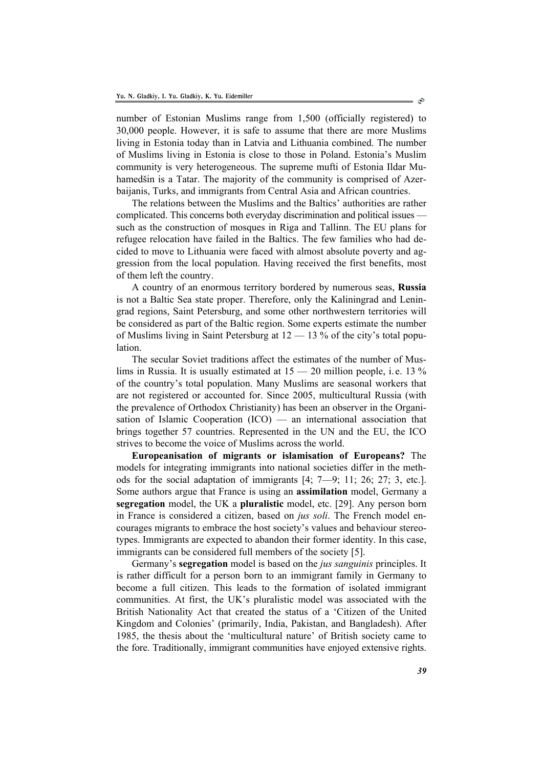number of Estonian Muslims range from 1,500 (officially registered) to 30,000 people. However, it is safe to assume that there are more Muslims living in Estonia today than in Latvia and Lithuania combined. The number of Muslims living in Estonia is close to those in Poland. Estonia's Muslim community is very heterogeneous. The supreme mufti of Estonia Ildar Muhamedšin is a Tatar. The majority of the community is comprised of Azerbaijanis, Turks, and immigrants from Central Asia and African countries.

The relations between the Muslims and the Baltics' authorities are rather complicated. This concerns both everyday discrimination and political issues such as the construction of mosques in Riga and Tallinn. The EU plans for refugee relocation have failed in the Baltics. The few families who had decided to move to Lithuania were faced with almost absolute poverty and aggression from the local population. Having received the first benefits, most of them left the country.

A country of an enormous territory bordered by numerous seas, **Russia** is not a Baltic Sea state proper. Therefore, only the Kaliningrad and Leningrad regions, Saint Petersburg, and some other northwestern territories will be considered as part of the Baltic region. Some experts estimate the number of Muslims living in Saint Petersburg at 12 — 13 % of the city's total population.

The secular Soviet traditions affect the estimates of the number of Muslims in Russia. It is usually estimated at 15 — 20 million people, i. e. 13 % of the country's total population. Many Muslims are seasonal workers that are not registered or accounted for. Since 2005, multicultural Russia (with the prevalence of Orthodox Christianity) has been an observer in the Organisation of Islamic Cooperation (ICO) — an international association that brings together 57 countries. Represented in the UN and the EU, the ICO strives to become the voice of Muslims across the world.

**Europeanisation of migrants or islamisation of Europeans?** The models for integrating immigrants into national societies differ in the methods for the social adaptation of immigrants [4; 7—9; 11; 26; 27; 3, etc.]. Some authors argue that France is using an **assimilation** model, Germany a **segregation** model, the UK a **pluralistic** model, etc. [29]. Any person born in France is considered a citizen, based on *jus soli*. The French model encourages migrants to embrace the host society's values and behaviour stereotypes. Immigrants are expected to abandon their former identity. In this case, immigrants can be considered full members of the society [5].

Germany's **segregation** model is based on the *jus sanguinis* principles. It is rather difficult for a person born to an immigrant family in Germany to become a full citizen. This leads to the formation of isolated immigrant communities. At first, the UK's pluralistic model was associated with the British Nationality Act that created the status of a 'Citizen of the United Kingdom and Colonies' (primarily, India, Pakistan, and Bangladesh). After 1985, the thesis about the 'multicultural nature' of British society came to the fore. Traditionally, immigrant communities have enjoyed extensive rights.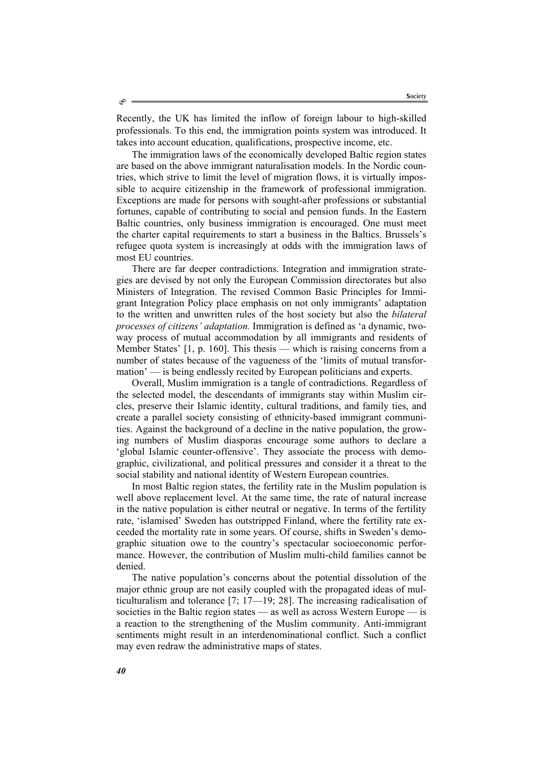Recently, the UK has limited the inflow of foreign labour to high-skilled professionals. To this end, the immigration points system was introduced. It takes into account education, qualifications, prospective income, etc.

The immigration laws of the economically developed Baltic region states are based on the above immigrant naturalisation models. In the Nordic countries, which strive to limit the level of migration flows, it is virtually impossible to acquire citizenship in the framework of professional immigration. Exceptions are made for persons with sought-after professions or substantial fortunes, capable of contributing to social and pension funds. In the Eastern Baltic countries, only business immigration is encouraged. One must meet the charter capital requirements to start a business in the Baltics. Brussels's refugee quota system is increasingly at odds with the immigration laws of most EU countries.

There are far deeper contradictions. Integration and immigration strategies are devised by not only the European Commission directorates but also Ministers of Integration. The revised Common Basic Principles for Immigrant Integration Policy place emphasis on not only immigrants' adaptation to the written and unwritten rules of the host society but also the *bilateral processes of citizens' adaptation.* Immigration is defined as 'a dynamic, twoway process of mutual accommodation by all immigrants and residents of Member States' [1, p. 160]. This thesis — which is raising concerns from a number of states because of the vagueness of the 'limits of mutual transformation' — is being endlessly recited by European politicians and experts.

Overall, Muslim immigration is a tangle of contradictions. Regardless of the selected model, the descendants of immigrants stay within Muslim circles, preserve their Islamic identity, cultural traditions, and family ties, and create a parallel society consisting of ethnicity-based immigrant communities. Against the background of a decline in the native population, the growing numbers of Muslim diasporas encourage some authors to declare a 'global Islamic counter-offensive'. They associate the process with demographic, civilizational, and political pressures and consider it a threat to the social stability and national identity of Western European countries.

In most Baltic region states, the fertility rate in the Muslim population is well above replacement level. At the same time, the rate of natural increase in the native population is either neutral or negative. In terms of the fertility rate, 'islamised' Sweden has outstripped Finland, where the fertility rate exceeded the mortality rate in some years. Of course, shifts in Sweden's demographic situation owe to the country's spectacular socioeconomic performance. However, the contribution of Muslim multi-child families cannot be denied.

The native population's concerns about the potential dissolution of the major ethnic group are not easily coupled with the propagated ideas of multiculturalism and tolerance [7; 17—19; 28]. The increasing radicalisation of societies in the Baltic region states — as well as across Western Europe — is a reaction to the strengthening of the Muslim community. Anti-immigrant sentiments might result in an interdenominational conflict. Such a conflict may even redraw the administrative maps of states.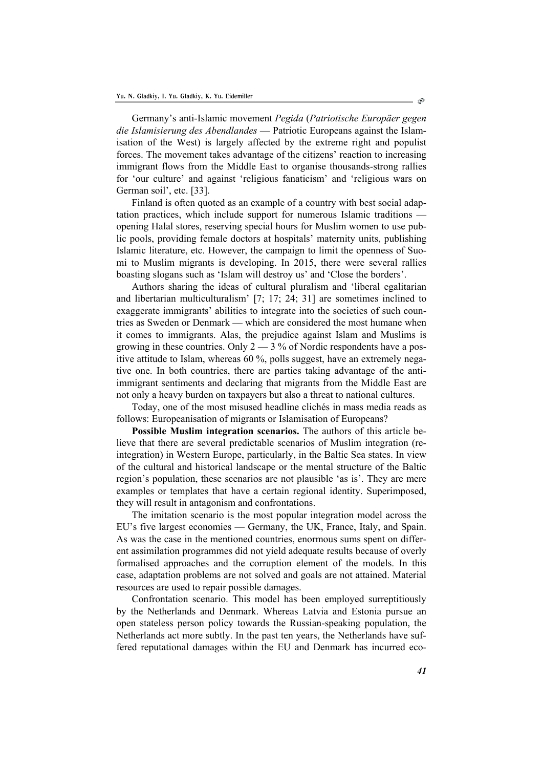Germany's anti-Islamic movement *Pegida* (*Patriotische Europäer gegen die Islamisierung des Abendlandes* — Patriotic Europeans against the Islamisation of the West) is largely affected by the extreme right and populist forces. The movement takes advantage of the citizens' reaction to increasing immigrant flows from the Middle East to organise thousands-strong rallies for 'our culture' and against 'religious fanaticism' and 'religious wars on German soil', etc. [33].

Finland is often quoted as an example of a country with best social adaptation practices, which include support for numerous Islamic traditions opening Halal stores, reserving special hours for Muslim women to use public pools, providing female doctors at hospitals' maternity units, publishing Islamic literature, etc. However, the campaign to limit the openness of Suomi to Muslim migrants is developing. In 2015, there were several rallies boasting slogans such as 'Islam will destroy us' and 'Close the borders'.

Authors sharing the ideas of cultural pluralism and 'liberal egalitarian and libertarian multiculturalism' [7; 17; 24; 31] are sometimes inclined to exaggerate immigrants' abilities to integrate into the societies of such countries as Sweden or Denmark — which are considered the most humane when it comes to immigrants. Alas, the prejudice against Islam and Muslims is growing in these countries. Only  $2 - 3\%$  of Nordic respondents have a positive attitude to Islam, whereas 60 %, polls suggest, have an extremely negative one. In both countries, there are parties taking advantage of the antiimmigrant sentiments and declaring that migrants from the Middle East are not only a heavy burden on taxpayers but also a threat to national cultures.

Today, one of the most misused headline clichés in mass media reads as follows: Europeanisation of migrants or Islamisation of Europeans?

**Possible Muslim integration scenarios.** The authors of this article believe that there are several predictable scenarios of Muslim integration (reintegration) in Western Europe, particularly, in the Baltic Sea states. In view of the cultural and historical landscape or the mental structure of the Baltic region's population, these scenarios are not plausible 'as is'. They are mere examples or templates that have a certain regional identity. Superimposed, they will result in antagonism and confrontations.

The imitation scenario is the most popular integration model across the EU's five largest economies — Germany, the UK, France, Italy, and Spain. As was the case in the mentioned countries, enormous sums spent on different assimilation programmes did not yield adequate results because of overly formalised approaches and the corruption element of the models. In this case, adaptation problems are not solved and goals are not attained. Material resources are used to repair possible damages.

Confrontation scenario. This model has been employed surreptitiously by the Netherlands and Denmark. Whereas Latvia and Estonia pursue an open stateless person policy towards the Russian-speaking population, the Netherlands act more subtly. In the past ten years, the Netherlands have suffered reputational damages within the EU and Denmark has incurred eco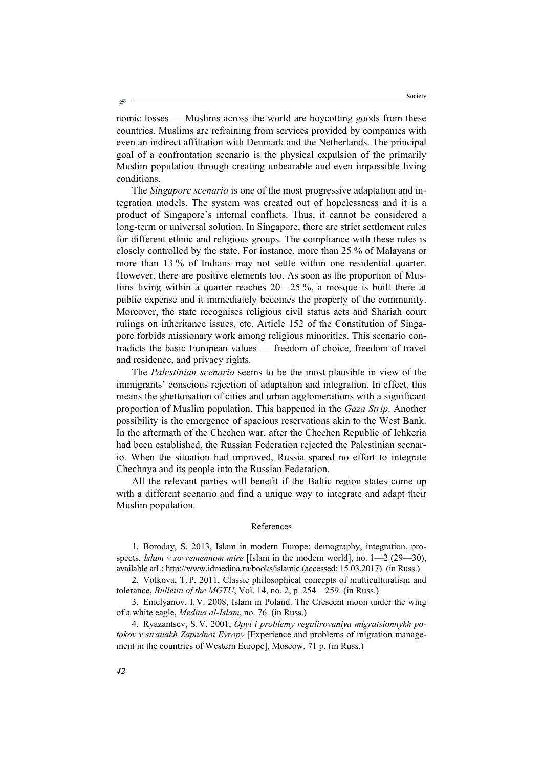nomic losses — Muslims across the world are boycotting goods from these countries. Muslims are refraining from services provided by companies with even an indirect affiliation with Denmark and the Netherlands. The principal goal of a confrontation scenario is the physical expulsion of the primarily Muslim population through creating unbearable and even impossible living conditions.

The *Singapore scenario* is one of the most progressive adaptation and integration models. The system was created out of hopelessness and it is a product of Singapore's internal conflicts. Thus, it cannot be considered a long-term or universal solution. In Singapore, there are strict settlement rules for different ethnic and religious groups. The compliance with these rules is closely controlled by the state. For instance, more than 25 % of Malayans or more than 13 % of Indians may not settle within one residential quarter. However, there are positive elements too. As soon as the proportion of Muslims living within a quarter reaches 20—25 %, a mosque is built there at public expense and it immediately becomes the property of the community. Moreover, the state recognises religious civil status acts and Shariah court rulings on inheritance issues, etc. Article 152 of the Constitution of Singapore forbids missionary work among religious minorities. This scenario contradicts the basic European values — freedom of choice, freedom of travel and residence, and privacy rights.

The *Palestinian scenario* seems to be the most plausible in view of the immigrants' conscious rejection of adaptation and integration. In effect, this means the ghettoisation of cities and urban agglomerations with a significant proportion of Muslim population. This happened in the *Gaza Strip*. Another possibility is the emergence of spacious reservations akin to the West Bank. In the aftermath of the Chechen war, after the Chechen Republic of Ichkeria had been established, the Russian Federation rejected the Palestinian scenario. When the situation had improved, Russia spared no effort to integrate Chechnya and its people into the Russian Federation.

All the relevant parties will benefit if the Baltic region states come up with a different scenario and find a unique way to integrate and adapt their Muslim population.

#### References

1. Boroday, S. 2013, Islam in modern Europe: demography, integration, prospects, *Islam v sovremennom mire* [Islam in the modern world], no. 1—2 (29—30), available atL: http://www.idmedina.ru/books/islamic (accessed: 15.03.2017). (in Russ.)

2. Volkova, T.P. 2011, Classic philosophical concepts of multiculturalism and tolerance, *Bulletin of the MGTU*, Vol. 14, no. 2, p. 254—259. (in Russ.)

3. Emelyanov, I.V. 2008, Islam in Poland. The Crescent moon under the wing of a white eagle, *Medina al-Islam*, no. 76. (in Russ.)

4. Ryazantsev, S.V. 2001, *Opyt i problemy regulirovaniya migratsionnykh potokov v stranakh Zapadnoi Evropy* [Experience and problems of migration management in the countries of Western Europe], Moscow, 71 p. (in Russ.)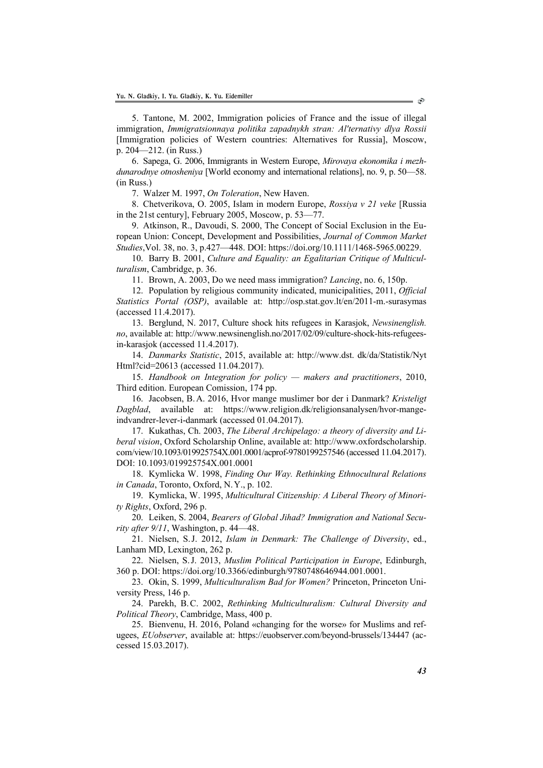5. Tantone, M. 2002, Immigration policies of France and the issue of illegal immigration, *Immigratsionnaya politika zapadnykh stran: Al'ternativy dlya Rossii* [Immigration policies of Western countries: Alternatives for Russia], Moscow, p. 204—212. (in Russ.)

6. Sapega, G. 2006, Immigrants in Western Europe, *Mirovaya ekonomika i mezhdunarodnye otnosheniya* [World economy and international relations], no. 9, p. 50—58. (in Russ.)

7. Walzer M. 1997, *On Toleration*, New Haven.

8. Chetverikova, O. 2005, Islam in modern Europe, *Rossiya v 21 veke* [Russia in the 21st century], February 2005, Moscow, p. 53—77.

9. Atkinson, R., Davoudi, S. 2000, The Concept of Social Exclusion in the European Union: Concept, Development and Possibilities, *Journal of Common Market Studies*,Vol. 38, no. 3, p.427—448. DOI: https://doi.org/10.1111/1468-5965.00229.

10. Barry B. 2001, *Culture and Equality: an Egalitarian Critique of Multiculturalism*, Cambridge, p. 36.

11. Brown, A. 2003, Do we need mass immigration? *Lancing*, no. 6, 150p.

12. Population by religious community indicated, municipalities, 2011, *Official Statistics Portal (OSP)*, available at: http://osp.stat.gov.lt/en/2011-m.-surasymas (accessed 11.4.2017).

13. Berglund, N. 2017, Culture shock hits refugees in Karasjok, *Newsinenglish. no*, available at: http://www.newsinenglish.no/2017/02/09/culture-shock-hits-refugeesin-karasjok (accessed 11.4.2017).

14. *Danmarks Statistic*, 2015, available at: http://www.dst. dk/da/Statistik/Nyt Html?cid=20613 (accessed 11.04.2017).

15. *Handbook on Integration for policy — makers and practitioners*, 2010, Third edition. European Comission, 174 pp.

16. Jacobsen, B.A. 2016, Hvor mange muslimer bor der i Danmark? *Kristeligt Dagblad*, available at: https://www.religion.dk/religionsanalysen/hvor-mangeindvandrer-lever-i-danmark (accessed 01.04.2017).

17. Kukathas, Ch. 2003, *The Liberal Archipelago: a theory of diversity and Liberal vision*, Oxford Scholarship Online, available at: http://www.oxfordscholarship. com/view/10.1093/019925754X.001.0001/acprof-9780199257546 (accessed 11.04.2017). DOI: 10.1093/019925754X.001.0001

18. Kymlicka W. 1998, *Finding Our Way. Rethinking Ethnocultural Relations in Canada*, Toronto, Oxford, N.Y., p. 102.

19. Kymlicka, W. 1995, *Multicultural Citizenship: A Liberal Theory of Minority Rights*, Oxford, 296 p.

20. Leiken, S. 2004, *Bearers of Global Jihad? Immigration and National Security after 9/11*, Washington, p. 44—48.

21. Nielsen, S.J. 2012, *Islam in Denmark: The Challenge of Diversity*, ed., Lanham MD, Lexington, 262 p.

22. Nielsen, S.J. 2013, *Muslim Political Participation in Europe*, Edinburgh, 360 p. DOI: https://doi.org/10.3366/edinburgh/9780748646944.001.0001.

23. Okin, S. 1999, *Multiculturalism Bad for Women?* Princeton, Princeton University Press, 146 p.

24. Parekh, B.C. 2002, *Rethinking Multiculturalism: Cultural Diversity and Political Theory*, Cambridge, Mass, 400 p.

25. Bienvenu, H. 2016, Poland «changing for the worse» for Muslims and refugees, *EUobserver*, available at: https://euobserver.com/beyond-brussels/134447 (accessed 15.03.2017).

ං